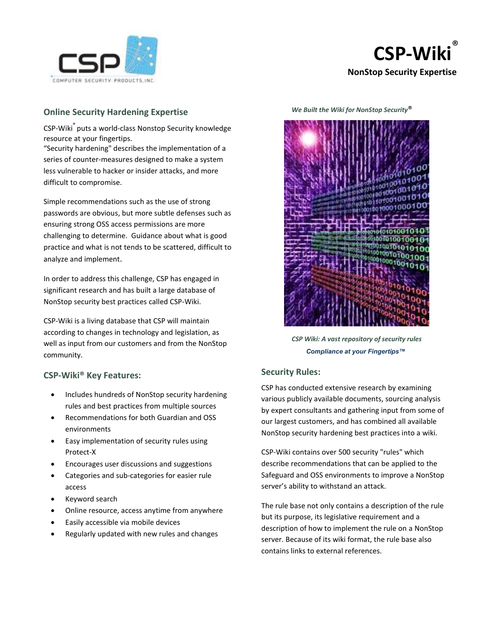



# **Online Security Hardening Expertise**

CSP-Wiki® puts a world-class Nonstop Security knowledge resource at your fingertips.

"Security hardening" describes the implementation of a series of counter-measures designed to make a system less vulnerable to hacker or insider attacks, and more difficult to compromise.

Simple recommendations such as the use of strong passwords are obvious, but more subtle defenses such as ensuring strong OSS access permissions are more challenging to determine. Guidance about what is good practice and what is not tends to be scattered, difficult to analyze and implement.

In order to address this challenge, CSP has engaged in significant research and has built a large database of NonStop security best practices called CSP-Wiki.

CSP-Wiki is a living database that CSP will maintain according to changes in technology and legislation, as well as input from our customers and from the NonStop community.

### **CSP-Wiki® Key Features:**

- Includes hundreds of NonStop security hardening rules and best practices from multiple sources
- Recommendations for both Guardian and OSS environments
- Easy implementation of security rules using Protect-X
- Encourages user discussions and suggestions
- Categories and sub-categories for easier rule access
- Keyword search
- Online resource, access anytime from anywhere
- Easily accessible via mobile devices
- Regularly updated with new rules and changes

 *We Built the Wiki for NonStop Security*®



 *CSP Wiki: A vast repository of security rules Compliance at your Fingertips™*

### **Security Rules:**

CSP has conducted extensive research by examining various publicly available documents, sourcing analysis by expert consultants and gathering input from some of our largest customers, and has combined all available NonStop security hardening best practices into a wiki.

CSP-Wiki contains over 500 security "rules" which describe recommendations that can be applied to the Safeguard and OSS environments to improve a NonStop server's ability to withstand an attack.

The rule base not only contains a description of the rule but its purpose, its legislative requirement and a description of how to implement the rule on a NonStop server. Because of its wiki format, the rule base also contains links to external references.